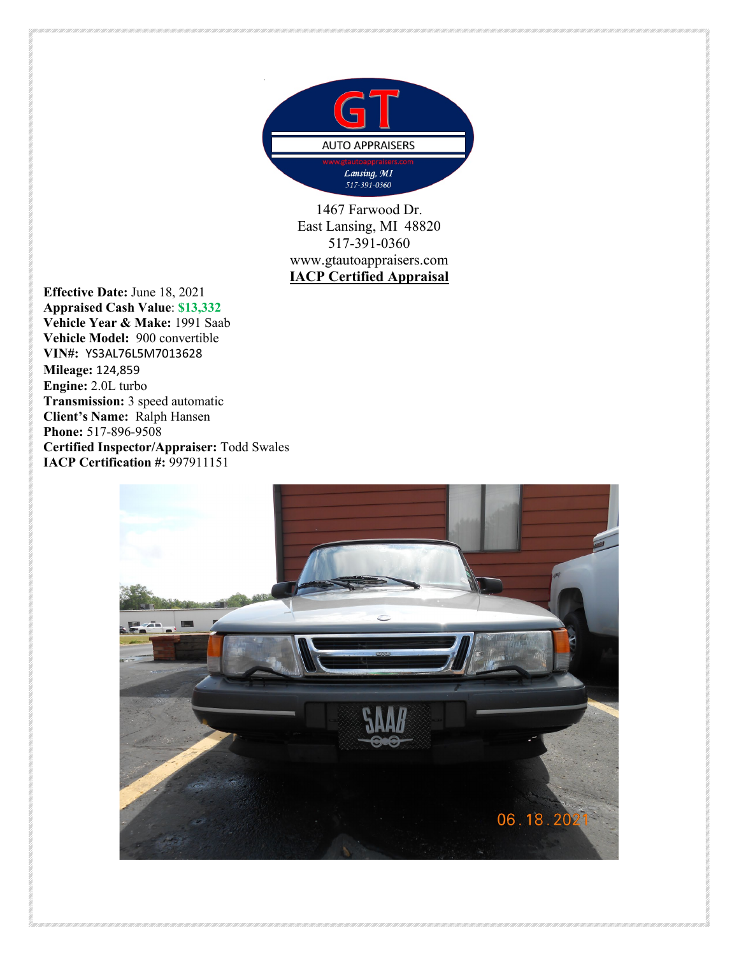

1467 Farwood Dr. East Lansing, MI 48820 517-391-0360 www.gtautoappraisers.com **IACP Certified Appraisal**

**Effective Date:** June 18, 2021 **Appraised Cash Value**: **\$13,332 Vehicle Year & Make:** 1991 Saab **Vehicle Model:** 900 convertible **VIN#:** YS3AL76L5M7013628 **Mileage:** 124,859 **Engine:** 2.0L turbo **Transmission:** 3 speed automatic **Client's Name:** Ralph Hansen **Phone:** 517-896-9508 **Certified Inspector/Appraiser:** Todd Swales **IACP Certification #:** 997911151

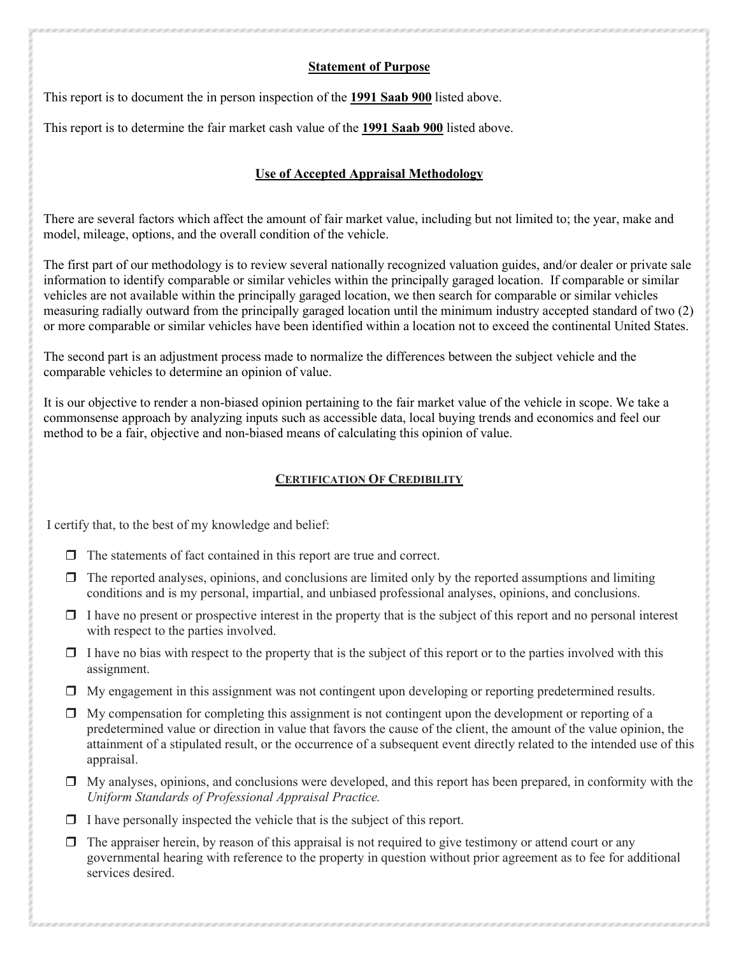## **Statement of Purpose**

This report is to document the in person inspection of the **1991 Saab 900** listed above.

This report is to determine the fair market cash value of the **1991 Saab 900** listed above.

## **Use of Accepted Appraisal Methodology**

There are several factors which affect the amount of fair market value, including but not limited to; the year, make and model, mileage, options, and the overall condition of the vehicle.

The first part of our methodology is to review several nationally recognized valuation guides, and/or dealer or private sale information to identify comparable or similar vehicles within the principally garaged location. If comparable or similar vehicles are not available within the principally garaged location, we then search for comparable or similar vehicles measuring radially outward from the principally garaged location until the minimum industry accepted standard of two (2) or more comparable or similar vehicles have been identified within a location not to exceed the continental United States.

The second part is an adjustment process made to normalize the differences between the subject vehicle and the comparable vehicles to determine an opinion of value.

It is our objective to render a non-biased opinion pertaining to the fair market value of the vehicle in scope. We take a commonsense approach by analyzing inputs such as accessible data, local buying trends and economics and feel our method to be a fair, objective and non-biased means of calculating this opinion of value.

## **CERTIFICATION OF CREDIBILITY**

I certify that, to the best of my knowledge and belief:

- $\Box$  The statements of fact contained in this report are true and correct.
- $\Box$  The reported analyses, opinions, and conclusions are limited only by the reported assumptions and limiting conditions and is my personal, impartial, and unbiased professional analyses, opinions, and conclusions.
- $\Box$  I have no present or prospective interest in the property that is the subject of this report and no personal interest with respect to the parties involved.
- $\Box$  I have no bias with respect to the property that is the subject of this report or to the parties involved with this assignment.
- My engagement in this assignment was not contingent upon developing or reporting predetermined results.
- $\Box$  My compensation for completing this assignment is not contingent upon the development or reporting of a predetermined value or direction in value that favors the cause of the client, the amount of the value opinion, the attainment of a stipulated result, or the occurrence of a subsequent event directly related to the intended use of this appraisal.
- $\Box$  My analyses, opinions, and conclusions were developed, and this report has been prepared, in conformity with the *Uniform Standards of Professional Appraisal Practice.*
- $\Box$  I have personally inspected the vehicle that is the subject of this report.
- $\Box$  The appraiser herein, by reason of this appraisal is not required to give testimony or attend court or any governmental hearing with reference to the property in question without prior agreement as to fee for additional services desired.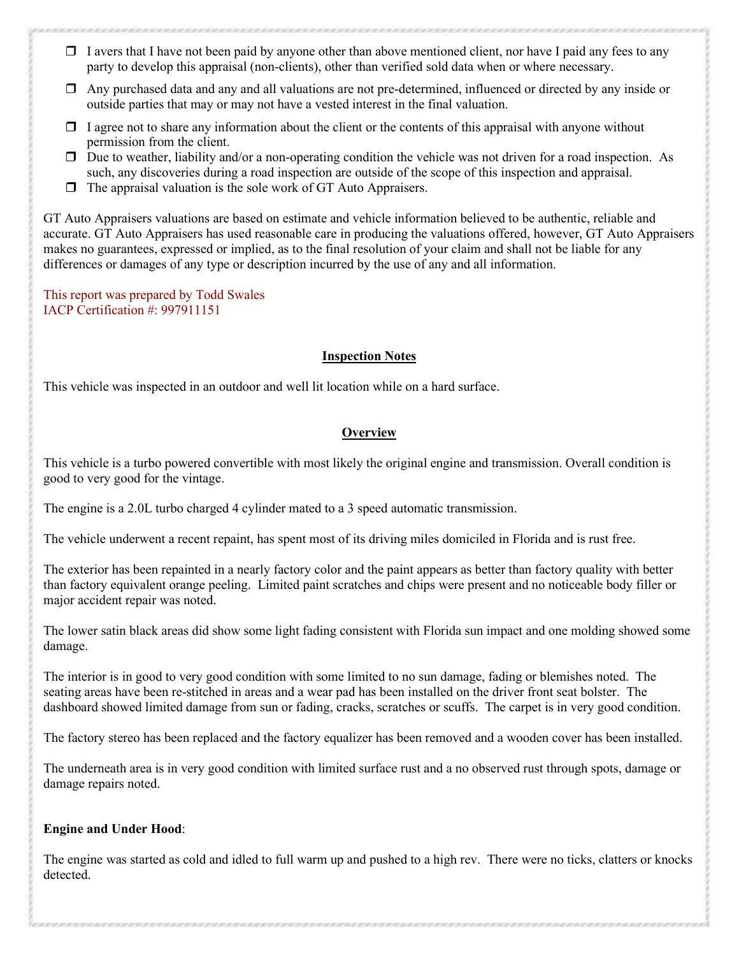- $\Box$  I avers that I have not been paid by anyone other than above mentioned client, nor have I paid any fees to any party to develop this appraisal (non-clients), other than verified sold data when or where necessary.
- Any purchased data and any and all valuations are not pre-determined, influenced or directed by any inside or outside parties that may or may not have a vested interest in the final valuation.
- $\Box$  I agree not to share any information about the client or the contents of this appraisal with anyone without permission from the client.
- $\Box$  Due to weather, liability and/or a non-operating condition the vehicle was not driven for a road inspection. As such, any discoveries during a road inspection are outside of the scope of this inspection and appraisal.
- $\Box$  The appraisal valuation is the sole work of GT Auto Appraisers.

GT Auto Appraisers valuations are based on estimate and vehicle information believed to be authentic, reliable and accurate. GT Auto Appraisers has used reasonable care in producing the valuations offered, however, GT Auto Appraisers makes no guarantees, expressed or implied, as to the final resolution of your claim and shall not be liable for any differences or damages of any type or description incurred by the use of any and all information.

This report was prepared by Todd Swales IACP Certification #: 997911151

#### **Inspection Notes**

This vehicle was inspected in an outdoor and well lit location while on a hard surface.

## **Overview**

This vehicle is a turbo powered convertible with most likely the original engine and transmission. Overall condition is good to very good for the vintage.

The engine is a 2.0L turbo charged 4 cylinder mated to a 3 speed automatic transmission.

The vehicle underwent a recent repaint, has spent most of its driving miles domiciled in Florida and is rust free.

The exterior has been repainted in a nearly factory color and the paint appears as better than factory quality with better than factory equivalent orange peeling. Limited paint scratches and chips were present and no noticeable body filler or major accident repair was noted.

The lower satin black areas did show some light fading consistent with Florida sun impact and one molding showed some damage.

The interior is in good to very good condition with some limited to no sun damage, fading or blemishes noted. The seating areas have been re-stitched in areas and a wear pad has been installed on the driver front seat bolster. The dashboard showed limited damage from sun or fading, cracks, scratches or scuffs. The carpet is in very good condition.

The factory stereo has been replaced and the factory equalizer has been removed and a wooden cover has been installed.

The underneath area is in very good condition with limited surface rust and a no observed rust through spots, damage or damage repairs noted.

#### **Engine and Under Hood**:

The engine was started as cold and idled to full warm up and pushed to a high rev. There were no ticks, clatters or knocks detected.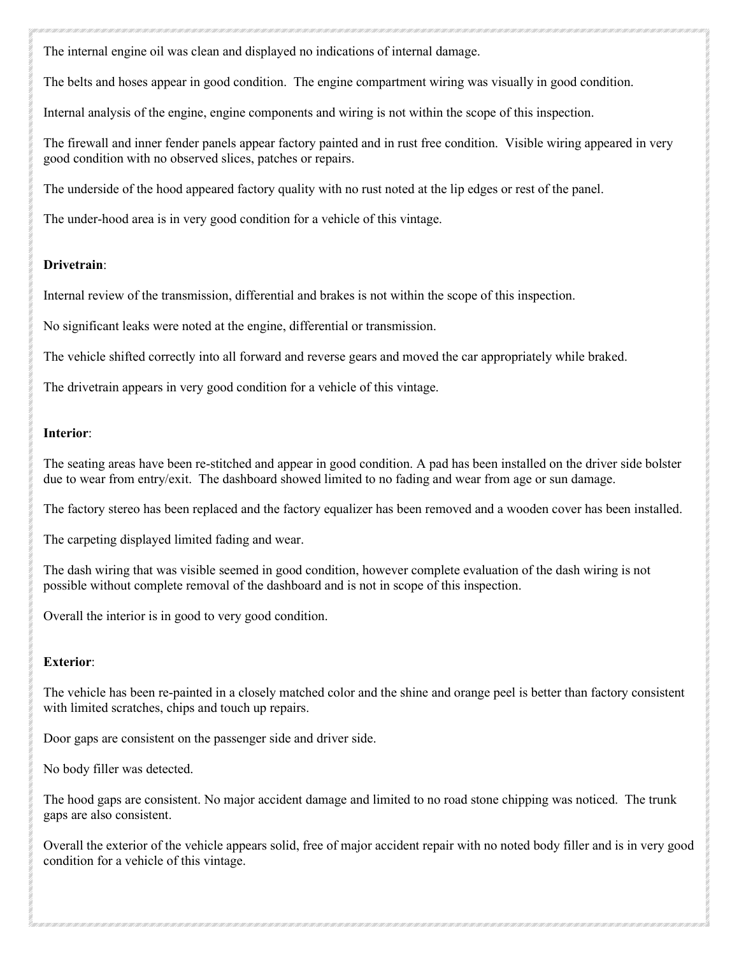The internal engine oil was clean and displayed no indications of internal damage.

The belts and hoses appear in good condition. The engine compartment wiring was visually in good condition.

Internal analysis of the engine, engine components and wiring is not within the scope of this inspection.

The firewall and inner fender panels appear factory painted and in rust free condition. Visible wiring appeared in very good condition with no observed slices, patches or repairs.

The underside of the hood appeared factory quality with no rust noted at the lip edges or rest of the panel.

The under-hood area is in very good condition for a vehicle of this vintage.

## **Drivetrain**:

Internal review of the transmission, differential and brakes is not within the scope of this inspection.

No significant leaks were noted at the engine, differential or transmission.

The vehicle shifted correctly into all forward and reverse gears and moved the car appropriately while braked.

The drivetrain appears in very good condition for a vehicle of this vintage.

### **Interior**:

The seating areas have been re-stitched and appear in good condition. A pad has been installed on the driver side bolster due to wear from entry/exit. The dashboard showed limited to no fading and wear from age or sun damage.

The factory stereo has been replaced and the factory equalizer has been removed and a wooden cover has been installed.

The carpeting displayed limited fading and wear.

The dash wiring that was visible seemed in good condition, however complete evaluation of the dash wiring is not possible without complete removal of the dashboard and is not in scope of this inspection.

Overall the interior is in good to very good condition.

## **Exterior**:

The vehicle has been re-painted in a closely matched color and the shine and orange peel is better than factory consistent with limited scratches, chips and touch up repairs.

Door gaps are consistent on the passenger side and driver side.

No body filler was detected.

The hood gaps are consistent. No major accident damage and limited to no road stone chipping was noticed. The trunk gaps are also consistent.

Overall the exterior of the vehicle appears solid, free of major accident repair with no noted body filler and is in very good condition for a vehicle of this vintage.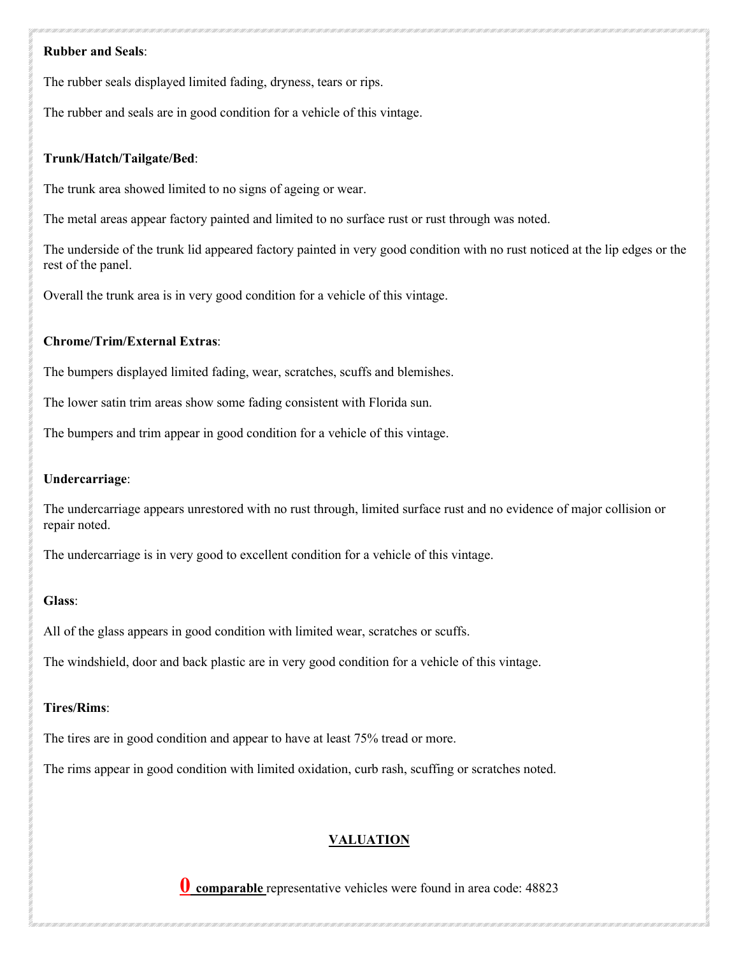#### **Rubber and Seals**:

The rubber seals displayed limited fading, dryness, tears or rips.

The rubber and seals are in good condition for a vehicle of this vintage.

## **Trunk/Hatch/Tailgate/Bed**:

The trunk area showed limited to no signs of ageing or wear.

The metal areas appear factory painted and limited to no surface rust or rust through was noted.

The underside of the trunk lid appeared factory painted in very good condition with no rust noticed at the lip edges or the rest of the panel.

Overall the trunk area is in very good condition for a vehicle of this vintage.

### **Chrome/Trim/External Extras**:

The bumpers displayed limited fading, wear, scratches, scuffs and blemishes.

The lower satin trim areas show some fading consistent with Florida sun.

The bumpers and trim appear in good condition for a vehicle of this vintage.

#### **Undercarriage**:

The undercarriage appears unrestored with no rust through, limited surface rust and no evidence of major collision or repair noted.

The undercarriage is in very good to excellent condition for a vehicle of this vintage.

## **Glass**:

All of the glass appears in good condition with limited wear, scratches or scuffs.

The windshield, door and back plastic are in very good condition for a vehicle of this vintage.

#### **Tires/Rims**:

The tires are in good condition and appear to have at least 75% tread or more.

The rims appear in good condition with limited oxidation, curb rash, scuffing or scratches noted.

# **VALUATION**

**0 comparable** representative vehicles were found in area code: 48823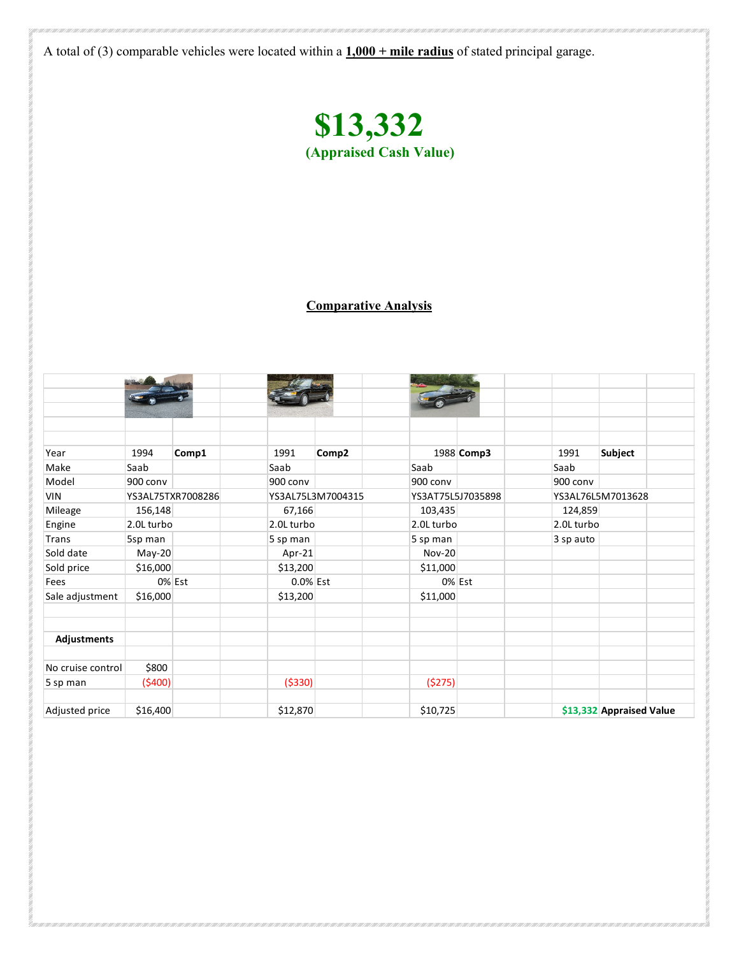A total of (3) comparable vehicles were located within a **1,000 + mile radius** of stated principal garage.



# **Comparative Analysis**

| Year              | 1994              | Comp1  | 1991              | Comp2 |                   | 1988 Comp3 | 1991              | <b>Subject</b>           |
|-------------------|-------------------|--------|-------------------|-------|-------------------|------------|-------------------|--------------------------|
| Make              | Saab              |        | Saab              |       | Saab              |            | Saab              |                          |
| Model             | 900 conv          |        | 900 conv          |       | 900 conv          |            | 900 conv          |                          |
| <b>VIN</b>        | YS3AL75TXR7008286 |        | YS3AL75L3M7004315 |       | YS3AT75L5J7035898 |            | YS3AL76L5M7013628 |                          |
| Mileage           | 156,148           |        | 67,166            |       | 103,435           |            | 124,859           |                          |
| Engine            | 2.0L turbo        |        | 2.0L turbo        |       | 2.0L turbo        |            | 2.0L turbo        |                          |
| <b>Trans</b>      | 5sp man           |        | 5 sp man          |       | 5 sp man          |            | 3 sp auto         |                          |
| Sold date         | May-20            |        | Apr-21            |       | <b>Nov-20</b>     |            |                   |                          |
| Sold price        | \$16,000          |        | \$13,200          |       | \$11,000          |            |                   |                          |
| Fees              |                   | 0% Est | 0.0% Est          |       |                   | 0% Est     |                   |                          |
| Sale adjustment   | \$16,000          |        | \$13,200          |       | \$11,000          |            |                   |                          |
|                   |                   |        |                   |       |                   |            |                   |                          |
| Adjustments       |                   |        |                   |       |                   |            |                   |                          |
| No cruise control | \$800             |        |                   |       |                   |            |                   |                          |
| 5 sp man          | (5400)            |        | ( \$330)          |       | (5275)            |            |                   |                          |
| Adjusted price    | \$16,400          |        | \$12,870          |       | \$10,725          |            |                   | \$13,332 Appraised Value |